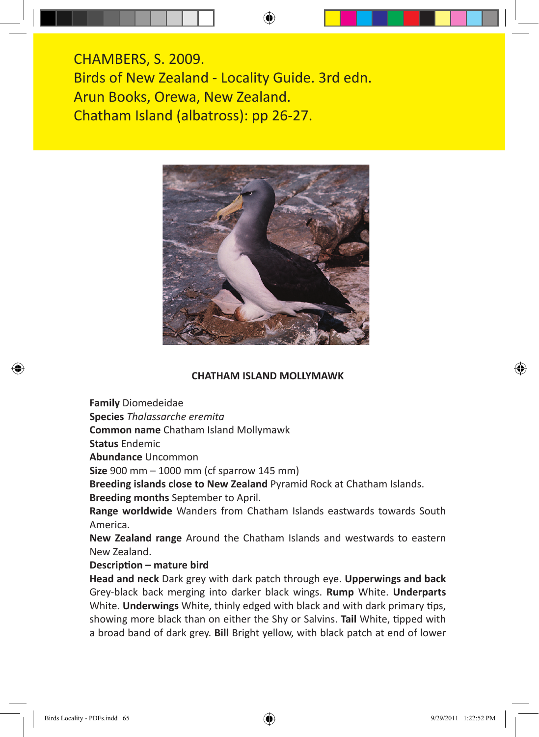CHAMBERS, S. 2009. Birds of New Zealand - Locality Guide. 3rd edn. Arun Books, Orewa, New Zealand. Chatham Island (albatross): pp 26-27.



### **CHATHAM ISLAND MOLLYMAWK**

**Family** Diomedeidae

**Species** *Thalassarche eremita*

**Common name** Chatham Island Mollymawk

**Status** Endemic

**Abundance** Uncommon

**Size** 900 mm – 1000 mm (cf sparrow 145 mm)

**Breeding islands close to New Zealand** Pyramid Rock at Chatham Islands.

**Breeding months** September to April.

**Range worldwide** Wanders from Chatham Islands eastwards towards South America.

**New Zealand range** Around the Chatham Islands and westwards to eastern New Zealand.

### **Description – mature bird**

**Head and neck** Dark grey with dark patch through eye. **Upperwings and back** Grey-black back merging into darker black wings. **Rump** White. **Underparts** White. **Underwings** White, thinly edged with black and with dark primary tips, showing more black than on either the Shy or Salvins. **Tail** White, tipped with a broad band of dark grey. **Bill** Bright yellow, with black patch at end of lower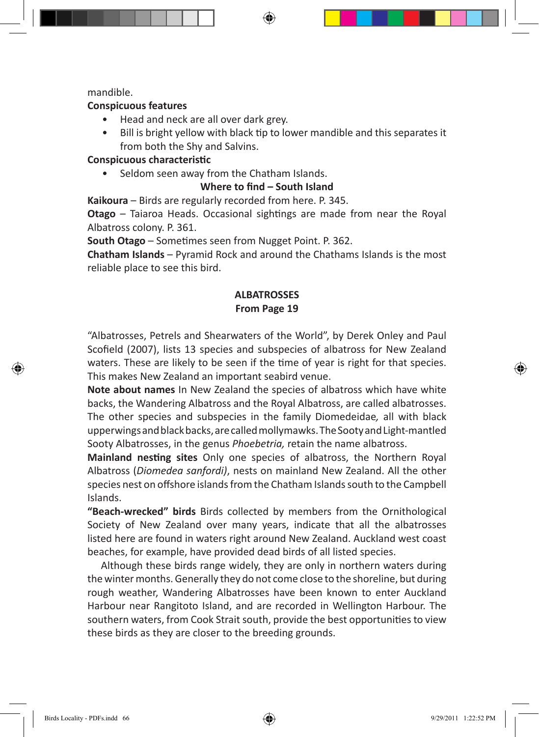mandible.

### **Conspicuous features**

- Head and neck are all over dark grey.
- Bill is bright yellow with black tip to lower mandible and this separates it from both the Shy and Salvins.

## **Conspicuous characteristic**

• Seldom seen away from the Chatham Islands.

## **Where to find – South Island**

**Kaikoura** – Birds are regularly recorded from here. P. 345.

**Otago** – Taiaroa Heads. Occasional sightings are made from near the Royal Albatross colony. P. 361.

**South Otago** – Sometimes seen from Nugget Point. P. 362.

**Chatham Islands** – Pyramid Rock and around the Chathams Islands is the most reliable place to see this bird.

# **ALBATROSSES From Page 19**

"Albatrosses, Petrels and Shearwaters of the World", by Derek Onley and Paul Scofield (2007), lists 13 species and subspecies of albatross for New Zealand waters. These are likely to be seen if the time of year is right for that species. This makes New Zealand an important seabird venue.

**Note about names** In New Zealand the species of albatross which have white backs, the Wandering Albatross and the Royal Albatross, are called albatrosses. The other species and subspecies in the family Diomedeidae*,* all with black upperwings and black backs, are called mollymawks. The Sooty and Light-mantled Sooty Albatrosses, in the genus *Phoebetria,* retain the name albatross.

**Mainland nesting sites** Only one species of albatross, the Northern Royal Albatross (*Diomedea sanfordi)*, nests on mainland New Zealand. All the other species nest on offshore islands from the Chatham Islands south to the Campbell Islands.

**"Beach-wrecked" birds** Birds collected by members from the Ornithological Society of New Zealand over many years, indicate that all the albatrosses listed here are found in waters right around New Zealand. Auckland west coast beaches, for example, have provided dead birds of all listed species.

Although these birds range widely, they are only in northern waters during the winter months. Generally they do not come close to the shoreline, but during rough weather, Wandering Albatrosses have been known to enter Auckland Harbour near Rangitoto Island, and are recorded in Wellington Harbour. The southern waters, from Cook Strait south, provide the best opportunities to view these birds as they are closer to the breeding grounds.